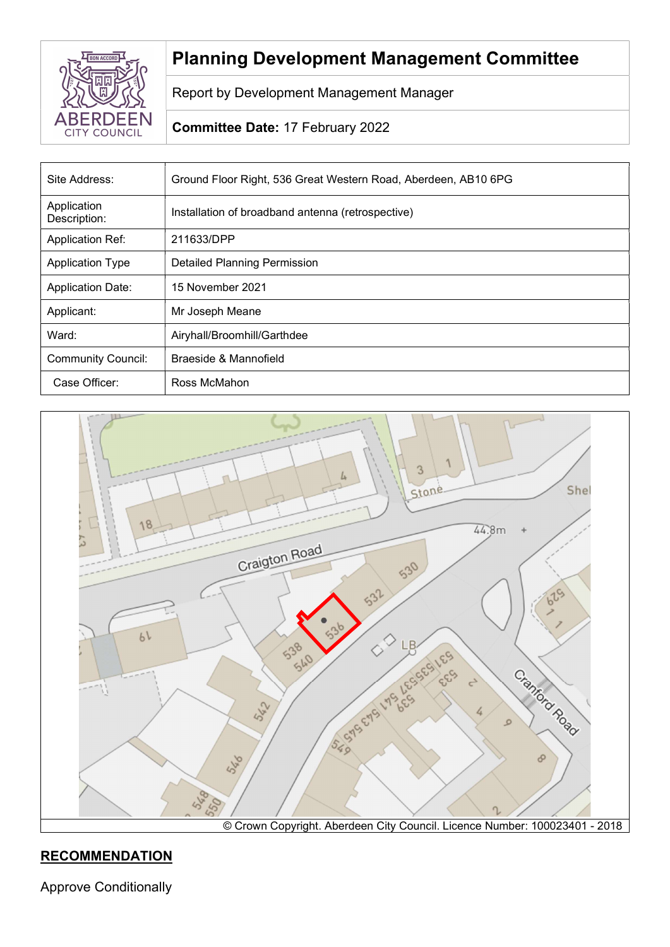

# Planning Development Management Committee

Report by Development Management Manager

# Committee Date: 17 February 2022

| Site Address:               | Ground Floor Right, 536 Great Western Road, Aberdeen, AB10 6PG |  |
|-----------------------------|----------------------------------------------------------------|--|
| Application<br>Description: | Installation of broadband antenna (retrospective)              |  |
| <b>Application Ref:</b>     | 211633/DPP                                                     |  |
| <b>Application Type</b>     | <b>Detailed Planning Permission</b>                            |  |
| <b>Application Date:</b>    | 15 November 2021                                               |  |
| Applicant:                  | Mr Joseph Meane                                                |  |
| Ward:                       | Airyhall/Broomhill/Garthdee                                    |  |
| <b>Community Council:</b>   | Braeside & Mannofield                                          |  |
| Case Officer:               | Ross McMahon                                                   |  |



# **RECOMMENDATION**

Approve Conditionally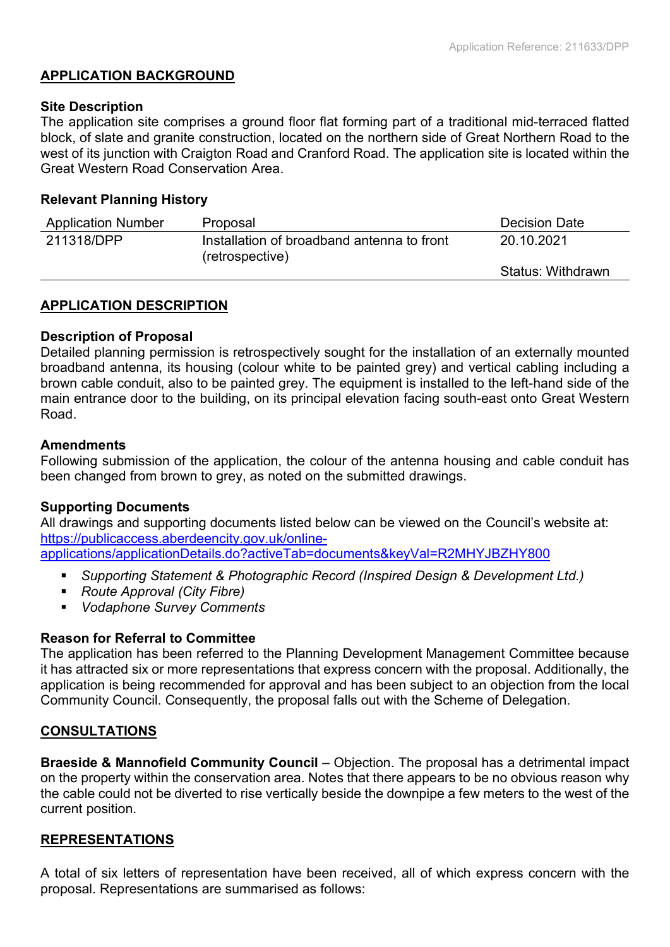## APPLICATION BACKGROUND

## Site Description

The application site comprises a ground floor flat forming part of a traditional mid-terraced flatted block, of slate and granite construction, located on the northern side of Great Northern Road to the west of its junction with Craigton Road and Cranford Road. The application site is located within the Great Western Road Conservation Area.

## Relevant Planning History

| <b>Application Number</b>                                                   | Proposal   | <b>Decision Date</b> |
|-----------------------------------------------------------------------------|------------|----------------------|
| 211318/DPP<br>Installation of broadband antenna to front<br>(retrospective) | 20.10.2021 |                      |
|                                                                             |            | Status: Withdrawn    |

## APPLICATION DESCRIPTION

## Description of Proposal

Detailed planning permission is retrospectively sought for the installation of an externally mounted broadband antenna, its housing (colour white to be painted grey) and vertical cabling including a brown cable conduit, also to be painted grey. The equipment is installed to the left-hand side of the main entrance door to the building, on its principal elevation facing south-east onto Great Western Road.

#### **Amendments**

Following submission of the application, the colour of the antenna housing and cable conduit has been changed from brown to grey, as noted on the submitted drawings.

## Supporting Documents

All drawings and supporting documents listed below can be viewed on the Council's website at: https://publicaccess.aberdeencity.gov.uk/onlineapplications/applicationDetails.do?activeTab=documents&keyVal=R2MHYJBZHY800

- **Supporting Statement & Photographic Record (Inspired Design & Development Ltd.)**
- **Route Approval (City Fibre)**
- Vodaphone Survey Comments

## Reason for Referral to Committee

The application has been referred to the Planning Development Management Committee because it has attracted six or more representations that express concern with the proposal. Additionally, the application is being recommended for approval and has been subject to an objection from the local Community Council. Consequently, the proposal falls out with the Scheme of Delegation.

## **CONSULTATIONS**

Braeside & Mannofield Community Council – Objection. The proposal has a detrimental impact on the property within the conservation area. Notes that there appears to be no obvious reason why the cable could not be diverted to rise vertically beside the downpipe a few meters to the west of the current position.

## REPRESENTATIONS

A total of six letters of representation have been received, all of which express concern with the proposal. Representations are summarised as follows: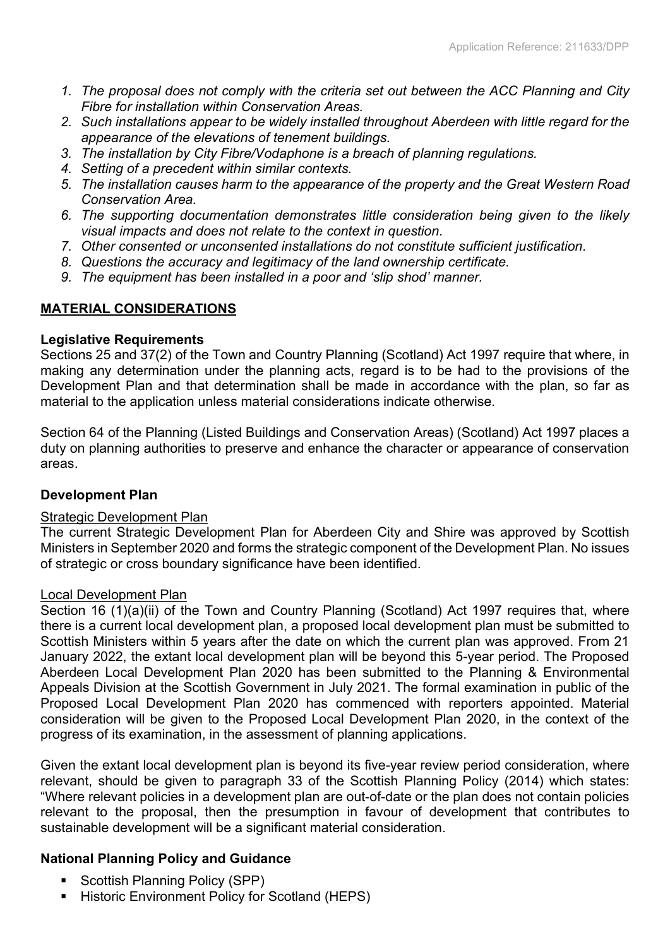- 1. The proposal does not comply with the criteria set out between the ACC Planning and City Fibre for installation within Conservation Areas.
- 2. Such installations appear to be widely installed throughout Aberdeen with little regard for the appearance of the elevations of tenement buildings.
- 3. The installation by City Fibre/Vodaphone is a breach of planning regulations.
- 4. Setting of a precedent within similar contexts.
- 5. The installation causes harm to the appearance of the property and the Great Western Road Conservation Area.
- 6. The supporting documentation demonstrates little consideration being given to the likely visual impacts and does not relate to the context in question.
- 7. Other consented or unconsented installations do not constitute sufficient justification.
- 8. Questions the accuracy and legitimacy of the land ownership certificate.
- 9. The equipment has been installed in a poor and 'slip shod' manner.

## MATERIAL CONSIDERATIONS

## Legislative Requirements

Sections 25 and 37(2) of the Town and Country Planning (Scotland) Act 1997 require that where, in making any determination under the planning acts, regard is to be had to the provisions of the Development Plan and that determination shall be made in accordance with the plan, so far as material to the application unless material considerations indicate otherwise.

Section 64 of the Planning (Listed Buildings and Conservation Areas) (Scotland) Act 1997 places a duty on planning authorities to preserve and enhance the character or appearance of conservation areas.

## Development Plan

## Strategic Development Plan

The current Strategic Development Plan for Aberdeen City and Shire was approved by Scottish Ministers in September 2020 and forms the strategic component of the Development Plan. No issues of strategic or cross boundary significance have been identified.

## Local Development Plan

Section 16 (1)(a)(ii) of the Town and Country Planning (Scotland) Act 1997 requires that, where there is a current local development plan, a proposed local development plan must be submitted to Scottish Ministers within 5 years after the date on which the current plan was approved. From 21 January 2022, the extant local development plan will be beyond this 5-year period. The Proposed Aberdeen Local Development Plan 2020 has been submitted to the Planning & Environmental Appeals Division at the Scottish Government in July 2021. The formal examination in public of the Proposed Local Development Plan 2020 has commenced with reporters appointed. Material consideration will be given to the Proposed Local Development Plan 2020, in the context of the progress of its examination, in the assessment of planning applications.

Given the extant local development plan is beyond its five-year review period consideration, where relevant, should be given to paragraph 33 of the Scottish Planning Policy (2014) which states: "Where relevant policies in a development plan are out-of-date or the plan does not contain policies relevant to the proposal, then the presumption in favour of development that contributes to sustainable development will be a significant material consideration.

## National Planning Policy and Guidance

- Scottish Planning Policy (SPP)
- Historic Environment Policy for Scotland (HEPS)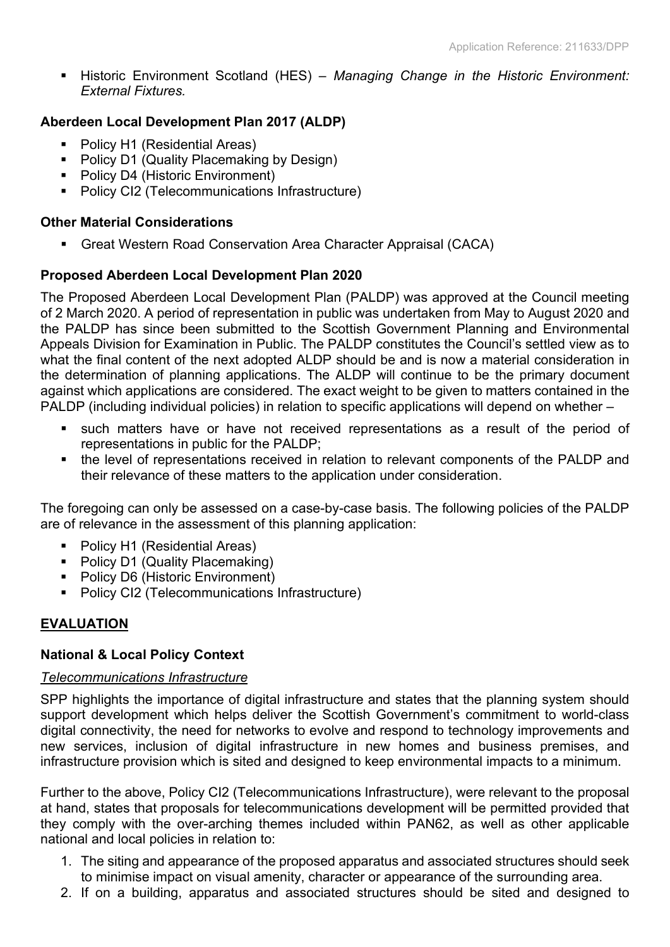**Historic Environment Scotland (HES)** – Managing Change in the Historic Environment: External Fixtures.

## Aberdeen Local Development Plan 2017 (ALDP)

- Policy H1 (Residential Areas)
- Policy D1 (Quality Placemaking by Design)
- Policy D4 (Historic Environment)
- **Policy CI2 (Telecommunications Infrastructure)**

## Other Material Considerations

Great Western Road Conservation Area Character Appraisal (CACA)

## Proposed Aberdeen Local Development Plan 2020

The Proposed Aberdeen Local Development Plan (PALDP) was approved at the Council meeting of 2 March 2020. A period of representation in public was undertaken from May to August 2020 and the PALDP has since been submitted to the Scottish Government Planning and Environmental Appeals Division for Examination in Public. The PALDP constitutes the Council's settled view as to what the final content of the next adopted ALDP should be and is now a material consideration in the determination of planning applications. The ALDP will continue to be the primary document against which applications are considered. The exact weight to be given to matters contained in the PALDP (including individual policies) in relation to specific applications will depend on whether –

- such matters have or have not received representations as a result of the period of representations in public for the PALDP;
- the level of representations received in relation to relevant components of the PALDP and their relevance of these matters to the application under consideration.

The foregoing can only be assessed on a case-by-case basis. The following policies of the PALDP are of relevance in the assessment of this planning application:

- Policy H1 (Residential Areas)
- Policy D1 (Quality Placemaking)
- Policy D6 (Historic Environment)
- **Policy CI2 (Telecommunications Infrastructure)**

## EVALUATION

## National & Local Policy Context

## Telecommunications Infrastructure

SPP highlights the importance of digital infrastructure and states that the planning system should support development which helps deliver the Scottish Government's commitment to world-class digital connectivity, the need for networks to evolve and respond to technology improvements and new services, inclusion of digital infrastructure in new homes and business premises, and infrastructure provision which is sited and designed to keep environmental impacts to a minimum.

Further to the above, Policy CI2 (Telecommunications Infrastructure), were relevant to the proposal at hand, states that proposals for telecommunications development will be permitted provided that they comply with the over-arching themes included within PAN62, as well as other applicable national and local policies in relation to:

- 1. The siting and appearance of the proposed apparatus and associated structures should seek to minimise impact on visual amenity, character or appearance of the surrounding area.
- 2. If on a building, apparatus and associated structures should be sited and designed to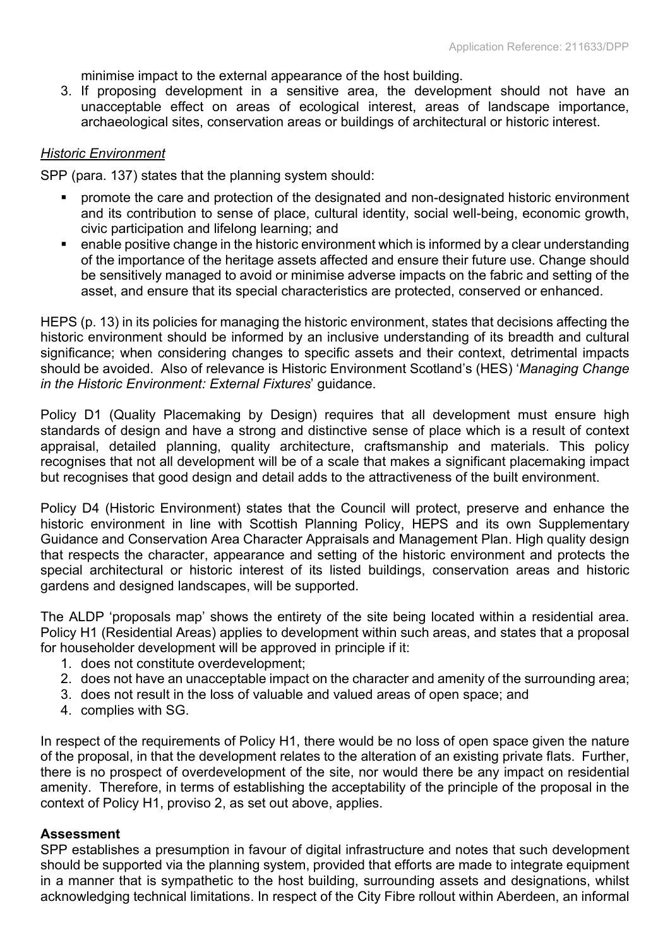minimise impact to the external appearance of the host building.

3. If proposing development in a sensitive area, the development should not have an unacceptable effect on areas of ecological interest, areas of landscape importance, archaeological sites, conservation areas or buildings of architectural or historic interest.

## Historic Environment

SPP (para. 137) states that the planning system should:

- promote the care and protection of the designated and non-designated historic environment and its contribution to sense of place, cultural identity, social well-being, economic growth, civic participation and lifelong learning; and
- enable positive change in the historic environment which is informed by a clear understanding of the importance of the heritage assets affected and ensure their future use. Change should be sensitively managed to avoid or minimise adverse impacts on the fabric and setting of the asset, and ensure that its special characteristics are protected, conserved or enhanced.

HEPS (p. 13) in its policies for managing the historic environment, states that decisions affecting the historic environment should be informed by an inclusive understanding of its breadth and cultural significance; when considering changes to specific assets and their context, detrimental impacts should be avoided. Also of relevance is Historic Environment Scotland's (HES) 'Managing Change in the Historic Environment: External Fixtures' guidance.

Policy D1 (Quality Placemaking by Design) requires that all development must ensure high standards of design and have a strong and distinctive sense of place which is a result of context appraisal, detailed planning, quality architecture, craftsmanship and materials. This policy recognises that not all development will be of a scale that makes a significant placemaking impact but recognises that good design and detail adds to the attractiveness of the built environment.

Policy D4 (Historic Environment) states that the Council will protect, preserve and enhance the historic environment in line with Scottish Planning Policy, HEPS and its own Supplementary Guidance and Conservation Area Character Appraisals and Management Plan. High quality design that respects the character, appearance and setting of the historic environment and protects the special architectural or historic interest of its listed buildings, conservation areas and historic gardens and designed landscapes, will be supported.

The ALDP 'proposals map' shows the entirety of the site being located within a residential area. Policy H1 (Residential Areas) applies to development within such areas, and states that a proposal for householder development will be approved in principle if it:

- 1. does not constitute overdevelopment;
- 2. does not have an unacceptable impact on the character and amenity of the surrounding area;
- 3. does not result in the loss of valuable and valued areas of open space; and
- 4. complies with SG.

In respect of the requirements of Policy H1, there would be no loss of open space given the nature of the proposal, in that the development relates to the alteration of an existing private flats. Further, there is no prospect of overdevelopment of the site, nor would there be any impact on residential amenity. Therefore, in terms of establishing the acceptability of the principle of the proposal in the context of Policy H1, proviso 2, as set out above, applies.

#### **Assessment**

SPP establishes a presumption in favour of digital infrastructure and notes that such development should be supported via the planning system, provided that efforts are made to integrate equipment in a manner that is sympathetic to the host building, surrounding assets and designations, whilst acknowledging technical limitations. In respect of the City Fibre rollout within Aberdeen, an informal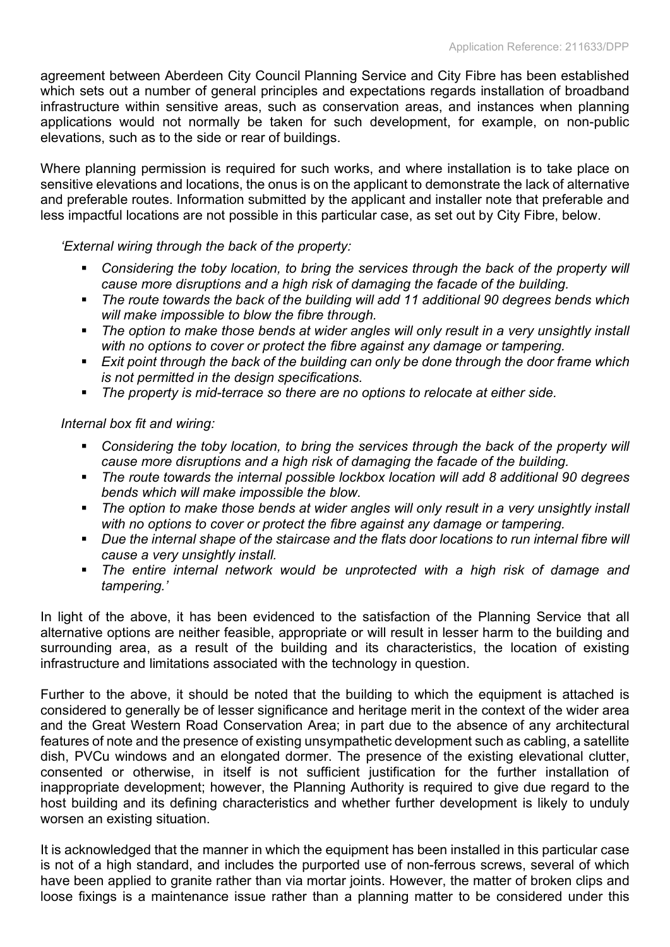agreement between Aberdeen City Council Planning Service and City Fibre has been established which sets out a number of general principles and expectations regards installation of broadband infrastructure within sensitive areas, such as conservation areas, and instances when planning applications would not normally be taken for such development, for example, on non-public elevations, such as to the side or rear of buildings.

Where planning permission is required for such works, and where installation is to take place on sensitive elevations and locations, the onus is on the applicant to demonstrate the lack of alternative and preferable routes. Information submitted by the applicant and installer note that preferable and less impactful locations are not possible in this particular case, as set out by City Fibre, below.

'External wiring through the back of the property:

- Considering the toby location, to bring the services through the back of the property will cause more disruptions and a high risk of damaging the facade of the building.
- The route towards the back of the building will add 11 additional 90 degrees bends which will make impossible to blow the fibre through.
- The option to make those bends at wider angles will only result in a very unsightly install with no options to cover or protect the fibre against any damage or tampering.
- **Exit point through the back of the building can only be done through the door frame which** is not permitted in the design specifications.
- The property is mid-terrace so there are no options to relocate at either side.

Internal box fit and wiring:

- **•** Considering the toby location, to bring the services through the back of the property will cause more disruptions and a high risk of damaging the facade of the building.
- The route towards the internal possible lockbox location will add 8 additional 90 degrees bends which will make impossible the blow.
- The option to make those bends at wider angles will only result in a very unsightly install with no options to cover or protect the fibre against any damage or tampering.
- Due the internal shape of the staircase and the flats door locations to run internal fibre will cause a very unsightly install.
- **The entire internal network would be unprotected with a high risk of damage and** tampering.'

In light of the above, it has been evidenced to the satisfaction of the Planning Service that all alternative options are neither feasible, appropriate or will result in lesser harm to the building and surrounding area, as a result of the building and its characteristics, the location of existing infrastructure and limitations associated with the technology in question.

Further to the above, it should be noted that the building to which the equipment is attached is considered to generally be of lesser significance and heritage merit in the context of the wider area and the Great Western Road Conservation Area; in part due to the absence of any architectural features of note and the presence of existing unsympathetic development such as cabling, a satellite dish, PVCu windows and an elongated dormer. The presence of the existing elevational clutter, consented or otherwise, in itself is not sufficient justification for the further installation of inappropriate development; however, the Planning Authority is required to give due regard to the host building and its defining characteristics and whether further development is likely to unduly worsen an existing situation.

It is acknowledged that the manner in which the equipment has been installed in this particular case is not of a high standard, and includes the purported use of non-ferrous screws, several of which have been applied to granite rather than via mortar joints. However, the matter of broken clips and loose fixings is a maintenance issue rather than a planning matter to be considered under this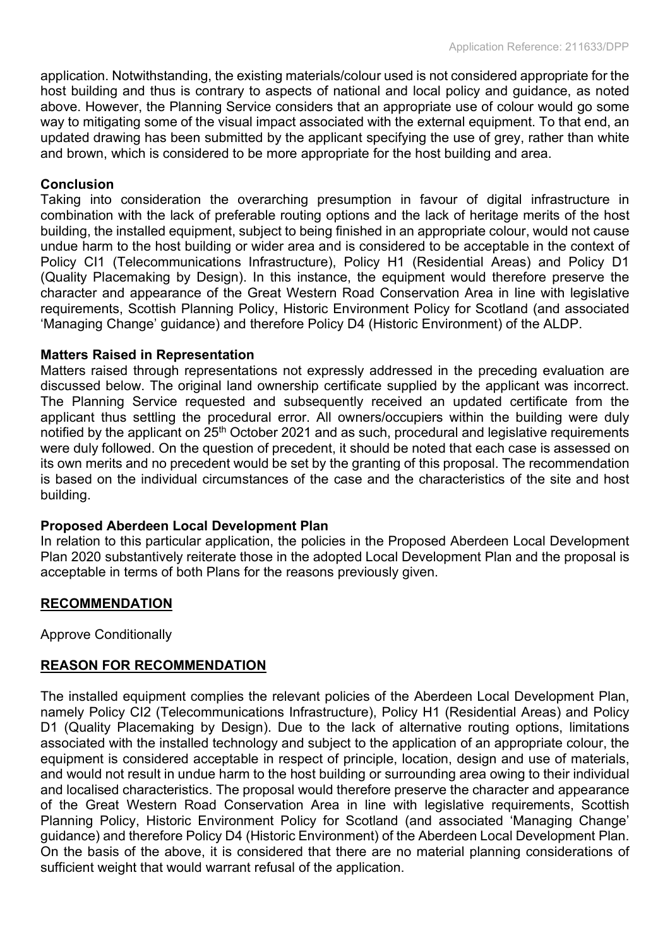application. Notwithstanding, the existing materials/colour used is not considered appropriate for the host building and thus is contrary to aspects of national and local policy and guidance, as noted above. However, the Planning Service considers that an appropriate use of colour would go some way to mitigating some of the visual impact associated with the external equipment. To that end, an updated drawing has been submitted by the applicant specifying the use of grey, rather than white and brown, which is considered to be more appropriate for the host building and area.

#### Conclusion

Taking into consideration the overarching presumption in favour of digital infrastructure in combination with the lack of preferable routing options and the lack of heritage merits of the host building, the installed equipment, subject to being finished in an appropriate colour, would not cause undue harm to the host building or wider area and is considered to be acceptable in the context of Policy CI1 (Telecommunications Infrastructure), Policy H1 (Residential Areas) and Policy D1 (Quality Placemaking by Design). In this instance, the equipment would therefore preserve the character and appearance of the Great Western Road Conservation Area in line with legislative requirements, Scottish Planning Policy, Historic Environment Policy for Scotland (and associated 'Managing Change' guidance) and therefore Policy D4 (Historic Environment) of the ALDP.

#### Matters Raised in Representation

Matters raised through representations not expressly addressed in the preceding evaluation are discussed below. The original land ownership certificate supplied by the applicant was incorrect. The Planning Service requested and subsequently received an updated certificate from the applicant thus settling the procedural error. All owners/occupiers within the building were duly notified by the applicant on 25th October 2021 and as such, procedural and legislative requirements were duly followed. On the question of precedent, it should be noted that each case is assessed on its own merits and no precedent would be set by the granting of this proposal. The recommendation is based on the individual circumstances of the case and the characteristics of the site and host building.

## Proposed Aberdeen Local Development Plan

In relation to this particular application, the policies in the Proposed Aberdeen Local Development Plan 2020 substantively reiterate those in the adopted Local Development Plan and the proposal is acceptable in terms of both Plans for the reasons previously given.

#### RECOMMENDATION

Approve Conditionally

## REASON FOR RECOMMENDATION

The installed equipment complies the relevant policies of the Aberdeen Local Development Plan, namely Policy CI2 (Telecommunications Infrastructure), Policy H1 (Residential Areas) and Policy D1 (Quality Placemaking by Design). Due to the lack of alternative routing options, limitations associated with the installed technology and subject to the application of an appropriate colour, the equipment is considered acceptable in respect of principle, location, design and use of materials, and would not result in undue harm to the host building or surrounding area owing to their individual and localised characteristics. The proposal would therefore preserve the character and appearance of the Great Western Road Conservation Area in line with legislative requirements, Scottish Planning Policy, Historic Environment Policy for Scotland (and associated 'Managing Change' guidance) and therefore Policy D4 (Historic Environment) of the Aberdeen Local Development Plan. On the basis of the above, it is considered that there are no material planning considerations of sufficient weight that would warrant refusal of the application.